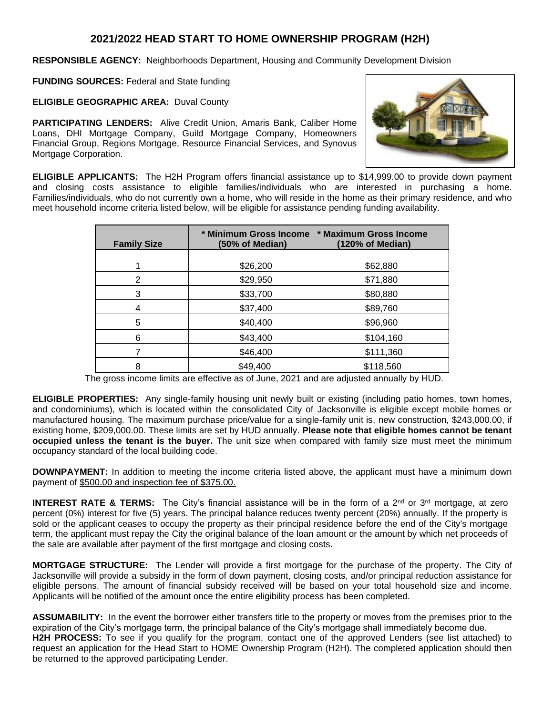## **2021/2022 HEAD START TO HOME OWNERSHIP PROGRAM (H2H)**

**RESPONSIBLE AGENCY:** Neighborhoods Department, Housing and Community Development Division

**FUNDING SOURCES:** Federal and State funding

**ELIGIBLE GEOGRAPHIC AREA:** Duval County

**PARTICIPATING LENDERS:** Alive Credit Union, Amaris Bank, Caliber Home Loans, DHI Mortgage Company, Guild Mortgage Company, Homeowners Financial Group, Regions Mortgage, Resource Financial Services, and Synovus Mortgage Corporation.



**ELIGIBLE APPLICANTS:** The H2H Program offers financial assistance up to \$14,999.00 to provide down payment and closing costs assistance to eligible families/individuals who are interested in purchasing a home. Families/individuals, who do not currently own a home, who will reside in the home as their primary residence, and who meet household income criteria listed below, will be eligible for assistance pending funding availability.

| <b>Family Size</b> | (50% of Median) | * Minimum Gross Income * Maximum Gross Income<br>(120% of Median) |
|--------------------|-----------------|-------------------------------------------------------------------|
|                    | \$26,200        | \$62,880                                                          |
| 2                  | \$29,950        | \$71,880                                                          |
| 3                  | \$33,700        | \$80,880                                                          |
| 4                  | \$37,400        | \$89,760                                                          |
| 5                  | \$40,400        | \$96,960                                                          |
| 6                  | \$43,400        | \$104,160                                                         |
|                    | \$46,400        | \$111,360                                                         |
| 8                  | \$49,400        | \$118,560                                                         |

The gross income limits are effective as of June, 2021 and are adjusted annually by HUD.

**ELIGIBLE PROPERTIES:** Any single-family housing unit newly built or existing (including patio homes, town homes, and condominiums), which is located within the consolidated City of Jacksonville is eligible except mobile homes or manufactured housing. The maximum purchase price/value for a single-family unit is, new construction, \$243,000.00, if existing home, \$209,000.00. These limits are set by HUD annually. **Please note that eligible homes cannot be tenant occupied unless the tenant is the buyer.** The unit size when compared with family size must meet the minimum occupancy standard of the local building code.

**DOWNPAYMENT:** In addition to meeting the income criteria listed above, the applicant must have a minimum down payment of \$500.00 and inspection fee of \$375.00.

**INTEREST RATE & TERMS:** The City's financial assistance will be in the form of a 2<sup>nd</sup> or 3<sup>rd</sup> mortgage, at zero percent (0%) interest for five (5) years. The principal balance reduces twenty percent (20%) annually. If the property is sold or the applicant ceases to occupy the property as their principal residence before the end of the City's mortgage term, the applicant must repay the City the original balance of the loan amount or the amount by which net proceeds of the sale are available after payment of the first mortgage and closing costs.

**MORTGAGE STRUCTURE:** The Lender will provide a first mortgage for the purchase of the property. The City of Jacksonville will provide a subsidy in the form of down payment, closing costs, and/or principal reduction assistance for eligible persons. The amount of financial subsidy received will be based on your total household size and income. Applicants will be notified of the amount once the entire eligibility process has been completed.

**ASSUMABILITY:** In the event the borrower either transfers title to the property or moves from the premises prior to the expiration of the City's mortgage term, the principal balance of the City's mortgage shall immediately become due. **H2H PROCESS:** To see if you qualify for the program, contact one of the approved Lenders (see list attached) to request an application for the Head Start to HOME Ownership Program (H2H). The completed application should then be returned to the approved participating Lender.